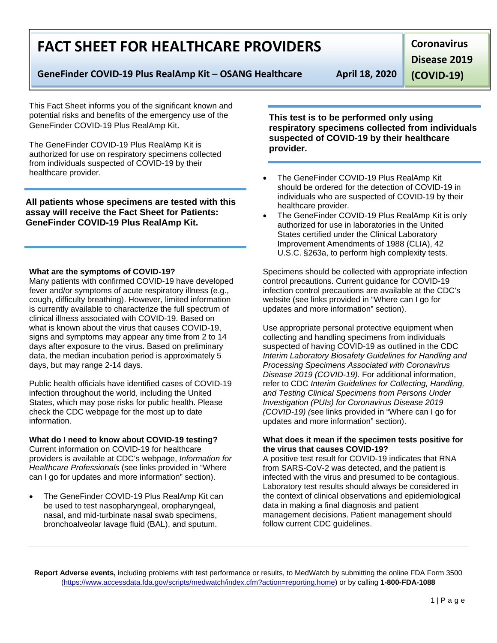**Report Adverse events,** including problems with test performance or results, to MedWatch by submitting the online FDA Form 3500 [\(https://www.accessdata.fda.gov/scripts/medwatch/index.cfm?action=reporting.home\)](https://www.accessdata.fda.gov/scripts/medwatch/index.cfm?action=reporting.home) or by calling **1-800-FDA-1088**

# **FACT SHEET FOR HEALTHCARE PROVIDERS**

**GeneFinder COVID-19 Plus RealAmp Kit – OSANG Healthcare April 18, 2020**

**Coronavirus** 

**(COVID-19)**

This Fact Sheet informs you of the significant known and potential risks and benefits of the emergency use of the GeneFinder COVID-19 Plus RealAmp Kit.

The GeneFinder COVID-19 Plus RealAmp Kit is authorized for use on respiratory specimens collected from individuals suspected of COVID-19 by their healthcare provider.

**All patients whose specimens are tested with this assay will receive the Fact Sheet for Patients: GeneFinder COVID-19 Plus RealAmp Kit.**

## **What are the symptoms of COVID-19?**

Many patients with confirmed COVID-19 have developed fever and/or symptoms of acute respiratory illness (e.g., cough, difficulty breathing). However, limited information is currently available to characterize the full spectrum of clinical illness associated with COVID-19. Based on what is known about the virus that causes COVID-19, signs and symptoms may appear any time from 2 to 14 days after exposure to the virus. Based on preliminary data, the median incubation period is approximately 5 days, but may range 2-14 days.

Public health officials have identified cases of COVID-19 infection throughout the world, including the United States, which may pose risks for public health. Please check the CDC webpage for the most up to date information.

# **What do I need to know about COVID-19 testing?**

Current information on COVID-19 for healthcare providers is available at CDC's webpage, *Information for Healthcare Professionals* (see links provided in "Where can I go for updates and more information" section).

• The GeneFinder COVID-19 Plus RealAmp Kit can be used to test nasopharyngeal, oropharyngeal, nasal, and mid-turbinate nasal swab specimens, bronchoalveolar lavage fluid (BAL), and sputum.

**This test is to be performed only using respiratory specimens collected from individuals suspected of COVID-19 by their healthcare provider.**

- The GeneFinder COVID-19 Plus RealAmp Kit should be ordered for the detection of COVID-19 in individuals who are suspected of COVID-19 by their healthcare provider.
- The GeneFinder COVID-19 Plus RealAmp Kit is only authorized for use in laboratories in the United States certified under the Clinical Laboratory Improvement Amendments of 1988 (CLIA), 42 U.S.C. §263a, to perform high complexity tests.

Specimens should be collected with appropriate infection control precautions. Current guidance for COVID-19 infection control precautions are available at the CDC's website (see links provided in "Where can I go for updates and more information" section).

Use appropriate personal protective equipment when collecting and handling specimens from individuals suspected of having COVID-19 as outlined in the CDC *Interim Laboratory Biosafety Guidelines for Handling and Processing Specimens Associated with Coronavirus Disease 2019 (COVID-19)*. For additional information, refer to CDC *Interim Guidelines for Collecting, Handling, and Testing Clinical Specimens from Persons Under Investigation (PUIs) for Coronavirus Disease 2019 (COVID-19) (*see links provided in "Where can I go for updates and more information" section).

### **What does it mean if the specimen tests positive for the virus that causes COVID-19?**

A positive test result for COVID-19 indicates that RNA from SARS-CoV-2 was detected, and the patient is infected with the virus and presumed to be contagious. Laboratory test results should always be considered in the context of clinical observations and epidemiological data in making a final diagnosis and patient management decisions. Patient management should follow current CDC guidelines.

**Disease 2019**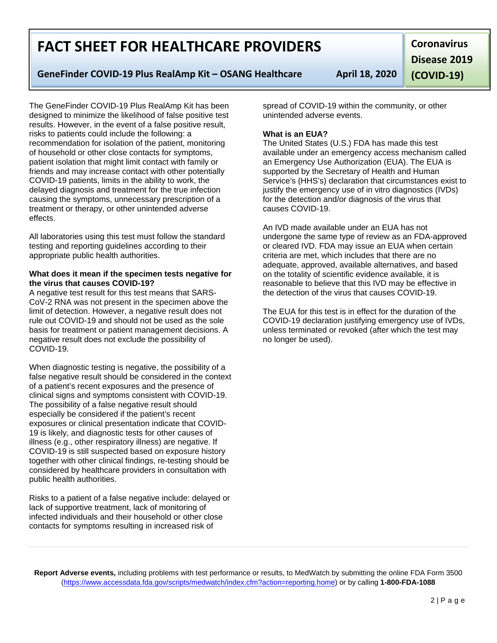**Report Adverse events,** including problems with test performance or results, to MedWatch by submitting the online FDA Form 3500 [\(https://www.accessdata.fda.gov/scripts/medwatch/index.cfm?action=reporting.home\)](https://www.accessdata.fda.gov/scripts/medwatch/index.cfm?action=reporting.home) or by calling **1-800-FDA-1088**

# **FACT SHEET FOR HEALTHCARE PROVIDERS**

## **GeneFinder COVID-19 Plus RealAmp Kit – OSANG Healthcare April 18, 2020**

**Coronavirus Disease 2019 (COVID-19)**

The GeneFinder COVID-19 Plus RealAmp Kit has been designed to minimize the likelihood of false positive test results. However, in the event of a false positive result, risks to patients could include the following: a recommendation for isolation of the patient, monitoring of household or other close contacts for symptoms, patient isolation that might limit contact with family or friends and may increase contact with other potentially COVID-19 patients, limits in the ability to work, the delayed diagnosis and treatment for the true infection causing the symptoms, unnecessary prescription of a treatment or therapy, or other unintended adverse effects.

All laboratories using this test must follow the standard testing and reporting guidelines according to their appropriate public health authorities.

#### **What does it mean if the specimen tests negative for the virus that causes COVID-19?**

A negative test result for this test means that SARS-CoV-2 RNA was not present in the specimen above the limit of detection. However, a negative result does not rule out COVID-19 and should not be used as the sole basis for treatment or patient management decisions. A negative result does not exclude the possibility of COVID-19.

When diagnostic testing is negative, the possibility of a false negative result should be considered in the context of a patient's recent exposures and the presence of clinical signs and symptoms consistent with COVID-19. The possibility of a false negative result should especially be considered if the patient's recent exposures or clinical presentation indicate that COVID-19 is likely, and diagnostic tests for other causes of illness (e.g., other respiratory illness) are negative. If COVID-19 is still suspected based on exposure history together with other clinical findings, re-testing should be considered by healthcare providers in consultation with public health authorities.

Risks to a patient of a false negative include: delayed or lack of supportive treatment, lack of monitoring of infected individuals and their household or other close contacts for symptoms resulting in increased risk of

spread of COVID-19 within the community, or other unintended adverse events.

## **What is an EUA?**

The United States (U.S.) FDA has made this test available under an emergency access mechanism called an Emergency Use Authorization (EUA). The EUA is supported by the Secretary of Health and Human Service's (HHS's) declaration that circumstances exist to justify the emergency use of in vitro diagnostics (IVDs) for the detection and/or diagnosis of the virus that causes COVID-19.

An IVD made available under an EUA has not undergone the same type of review as an FDA-approved or cleared IVD. FDA may issue an EUA when certain criteria are met, which includes that there are no adequate, approved, available alternatives, and based on the totality of scientific evidence available, it is reasonable to believe that this IVD may be effective in the detection of the virus that causes COVID-19.

The EUA for this test is in effect for the duration of the COVID-19 declaration justifying emergency use of IVDs, unless terminated or revoked (after which the test may no longer be used).